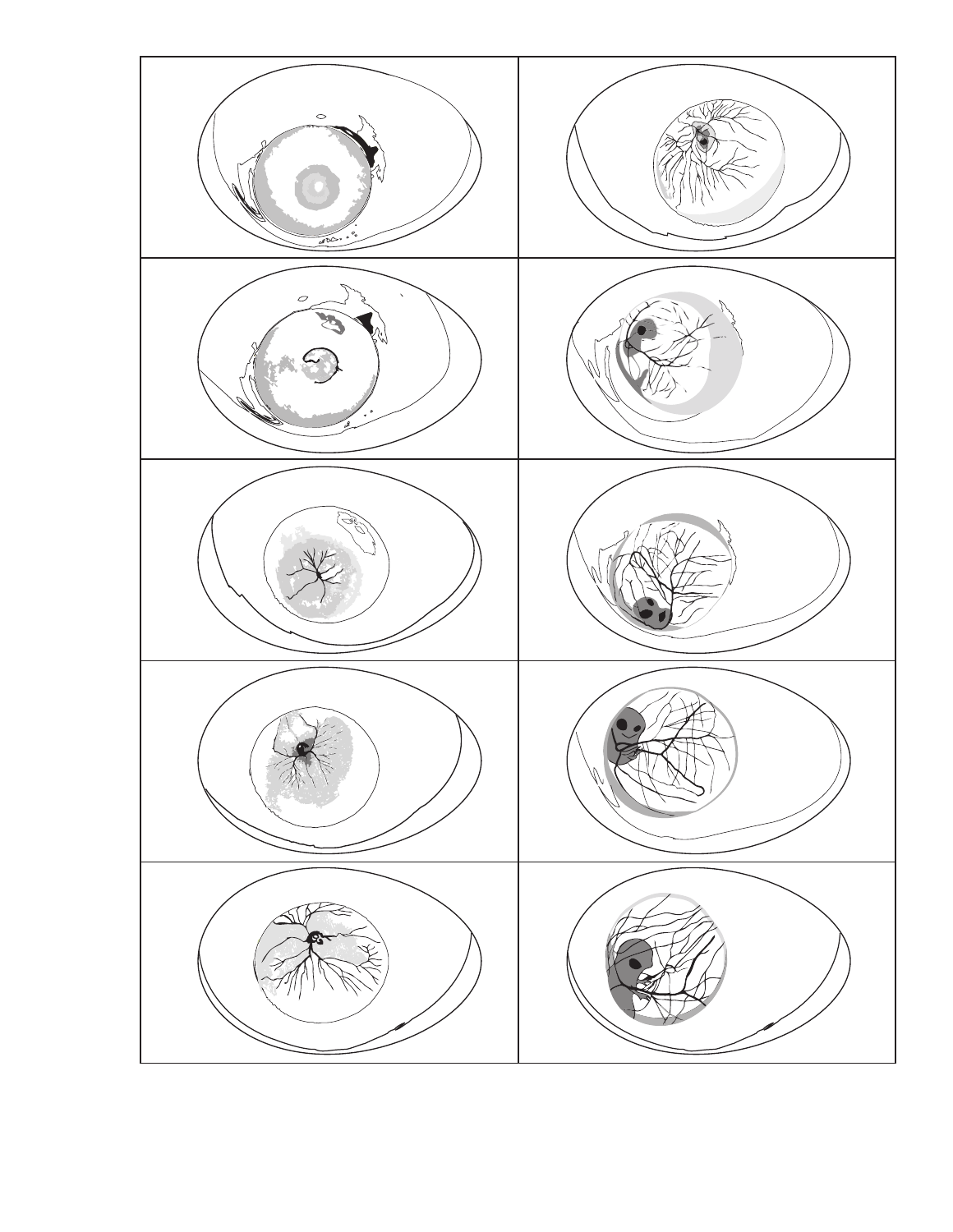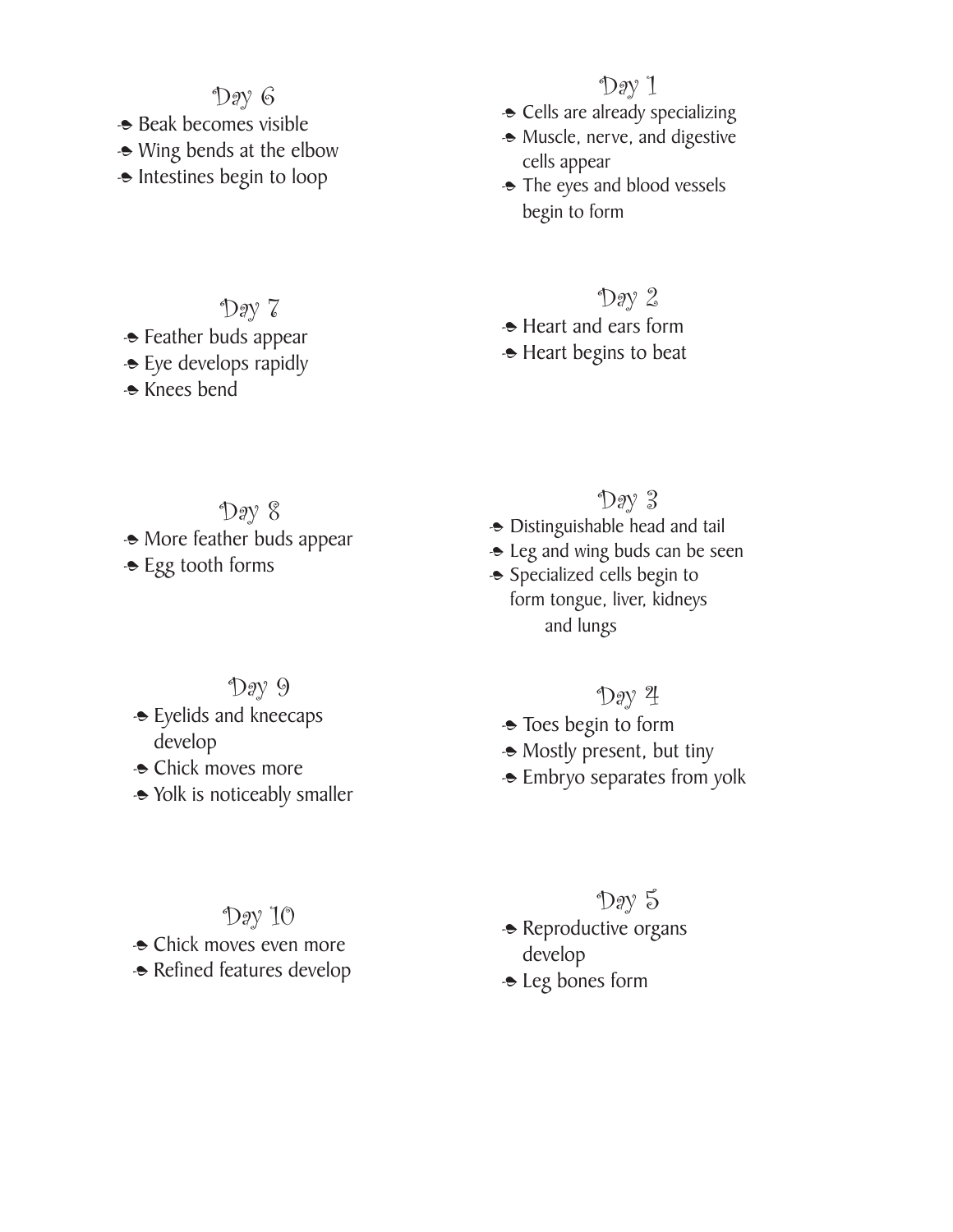#### Day 6

- $\rightarrow$  Beak becomes visible
- $\rightarrow$  Wing bends at the elbow
- $\rightarrow$  Intestines begin to loop

### Day 7

- $\rightarrow$  Feather buds appear
- $\div$  Eye develops rapidly
- $\triangle$  Knees bend

## Day 1

- $\bullet$  Cells are already specializing
- $\bullet$  Muscle, nerve, and digestive cells appear
- $\rightarrow$  The eyes and blood vessels begin to form

#### $\mathcal{D}$ gy  $\mathcal{Z}$

 $\div$  Heart and ears form

 $\rightarrow$  Heart begins to beat

Day 8

 $\rightarrow$  More feather buds appear

 $\div$  Egg tooth forms

### Day 9

- **→** Eyelids and kneecaps develop
- $\rightarrow$  Chick moves more
- $\rightarrow$  Yolk is noticeably smaller

# Day 3

- $\triangle$  Distinguishable head and tail
- $\div$  Leg and wing buds can be seen
- $\triangle$  Specialized cells begin to form tongue, liver, kidneys and lungs

# Day 4

- $\rightarrow$  Toes begin to form
- $\rightarrow$  Mostly present, but tiny
- $\div$  Embryo separates from yolk

### Day 10

- $\div$  Chick moves even more
- $\triangle$  Refined features develop

#### $Day5$

- $\triangle$  Reproductive organs develop
- $\triangle$  Leg bones form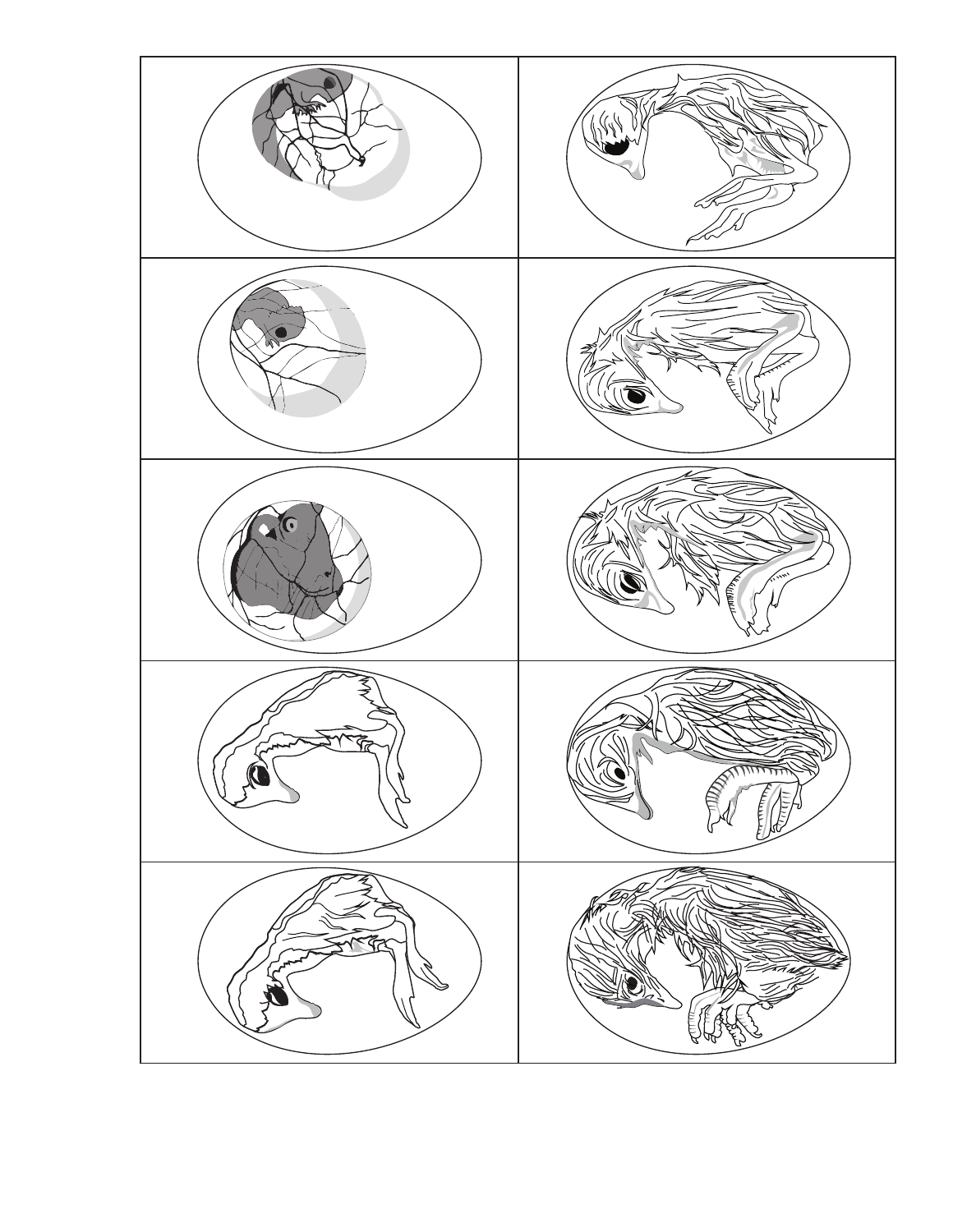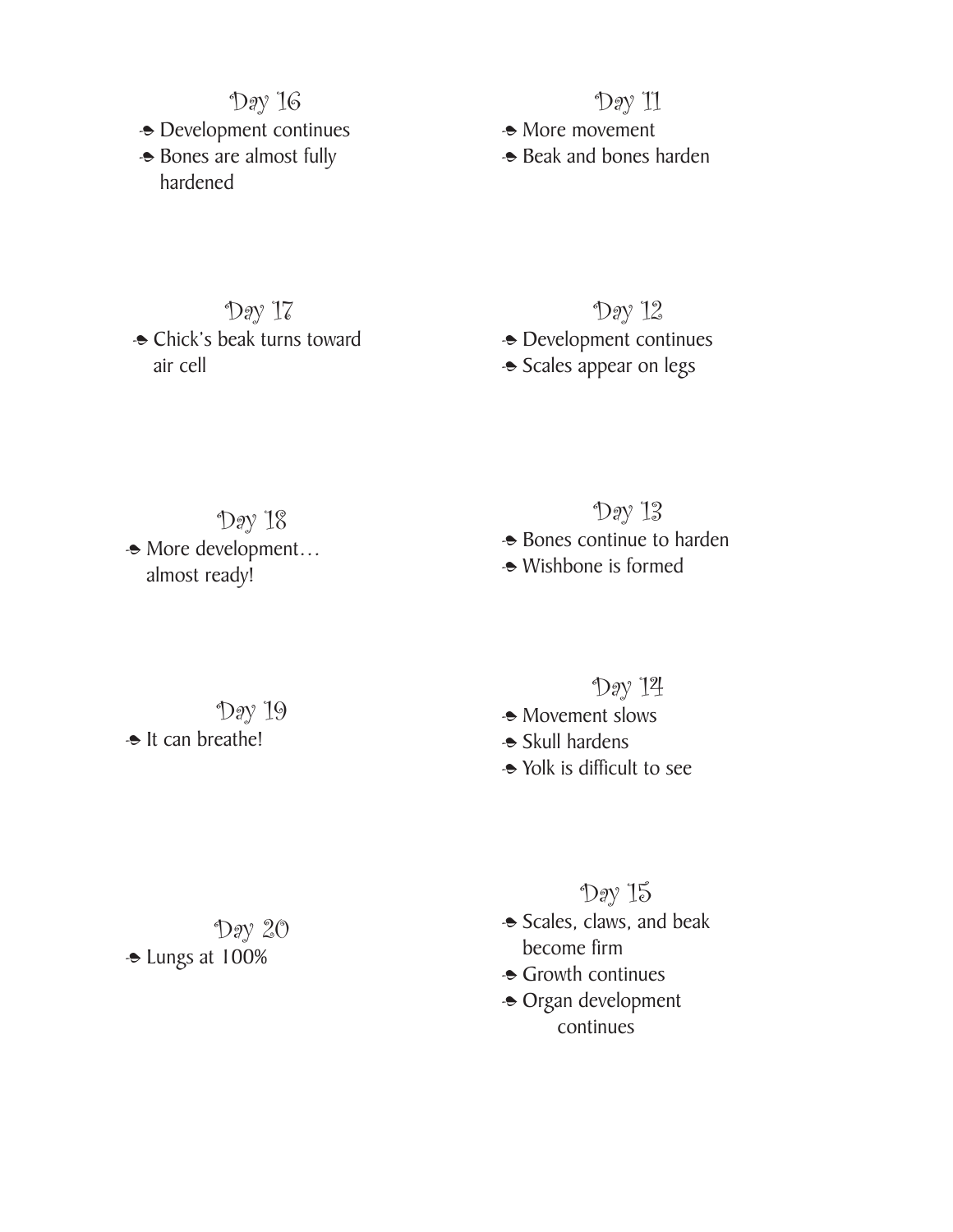# Day 16  $\div$  Development continues

 $\triangle$  Bones are almost fully hardened

Day 11  $\rightarrow$  More movement  $\div$  Beak and bones harden

Day 17  $\div$  Chick's beak turns toward air cell

Day 12  $\div$  Development continues  $\triangle$  Scales appear on legs

Day 18 **→ More development...** almost ready!

Day 13  $\div$  Bones continue to harden  $\rightarrow$  Wishbone is formed

Day 19  $\bullet$  It can breathe!

Day 14

- $\triangle$  Movement slows
- $\rightarrow$  Skull hardens
- $\rightarrow$  Yolk is difficult to see

Day 15

- $\div$  Scales, claws, and beak become firm
- $\rightarrow$  Growth continues
- $\rightarrow$  Organ development continues

Day 20  $\triangle$  Lungs at 100%